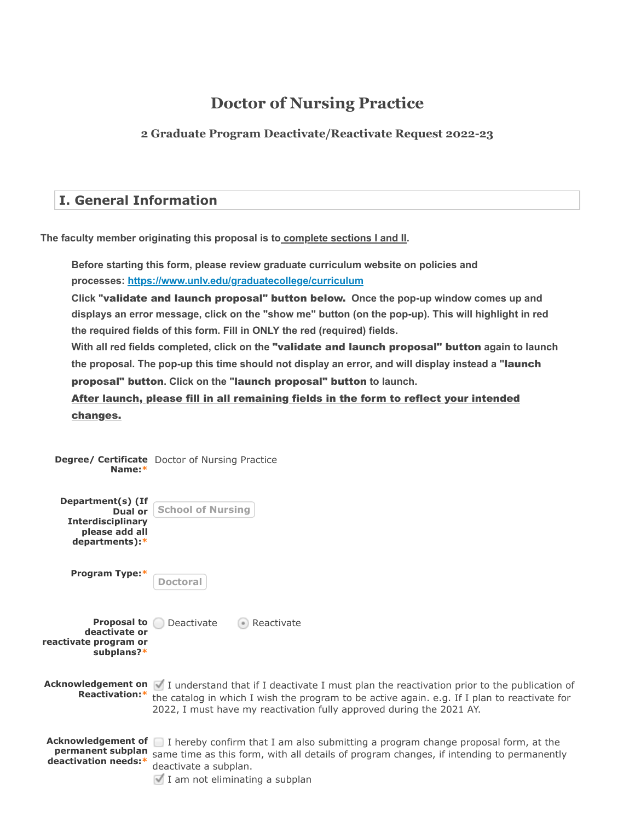# **Doctor of Nursing Practice**

**2 Graduate Program Deactivate/Reactivate Request 2022-23**

# **I. General Information**

**The faculty member originating this proposal is to complete sections I and II.**

**Before starting this form, please review graduate curriculum website on policies and processes: <https://www.unlv.edu/graduatecollege/curriculum>**

Click "validate and launch proposal" button below. Once the pop-up window comes up and **displays an error message, click on the "show me" button (on the pop-up). This will highlight in red the required fields of this form. Fill in ONLY the red (required) fields.**

With all red fields completed, click on the "validate and launch proposal" button again to launch **the proposal. The pop-up this time should not display an error, and will display instead a "** launch proposal" button. Click on the "launch proposal" button to launch.

After launch, please fill in all remaining fields in the form to reflect your intended changes.

| Name:*                                                                                       | <b>Degree/ Certificate</b> Doctor of Nursing Practice                                                                                                                                                                                                                                   |
|----------------------------------------------------------------------------------------------|-----------------------------------------------------------------------------------------------------------------------------------------------------------------------------------------------------------------------------------------------------------------------------------------|
| Department(s) (If<br>Dual or<br><b>Interdisciplinary</b><br>please add all<br>departments):* | <b>School of Nursing</b>                                                                                                                                                                                                                                                                |
| <b>Program Type:*</b>                                                                        | Doctoral                                                                                                                                                                                                                                                                                |
| Proposal to<br>deactivate or<br>reactivate program or<br>subplans?*                          | Deactivate<br>Reactivate                                                                                                                                                                                                                                                                |
| Reactivation:*                                                                               | Acknowledgement on   I understand that if I deactivate I must plan the reactivation prior to the publication of<br>the catalog in which I wish the program to be active again. e.g. If I plan to reactivate for<br>2022, I must have my reactivation fully approved during the 2021 AY. |
| <b>Acknowledgement of</b><br>permanent subplan<br>deactivation needs:*                       | $\Box$ I hereby confirm that I am also submitting a program change proposal form, at the<br>same time as this form, with all details of program changes, if intending to permanently<br>deactivate a subplan.<br>I am not eliminating a subplan                                         |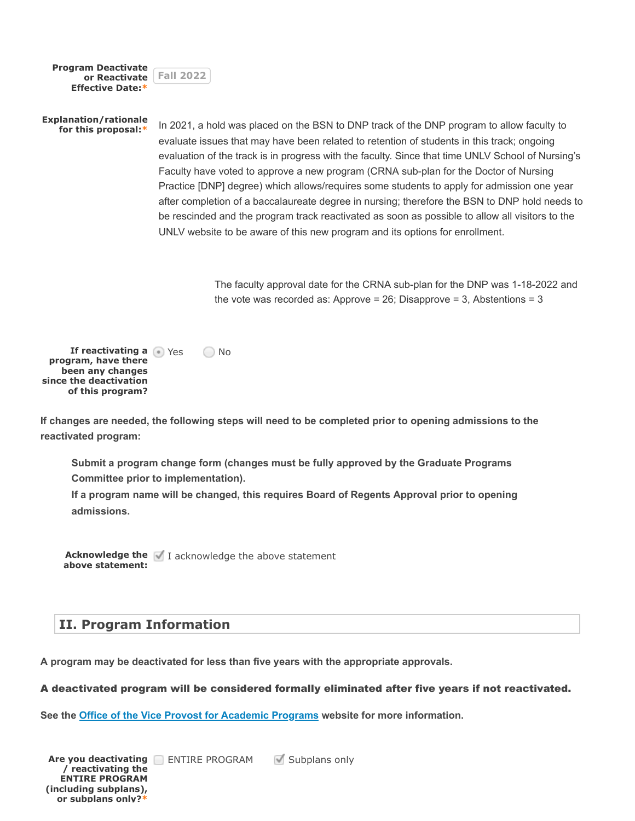| <b>Program Deactivate</b><br>or Reactivate<br><b>Effective Date:*</b>                                          | <b>Fall 2022</b>                                                                                                                                                                                                                                                                                                                                                                                                                                                                                                                                                                                                                                                                                                                                                       |  |
|----------------------------------------------------------------------------------------------------------------|------------------------------------------------------------------------------------------------------------------------------------------------------------------------------------------------------------------------------------------------------------------------------------------------------------------------------------------------------------------------------------------------------------------------------------------------------------------------------------------------------------------------------------------------------------------------------------------------------------------------------------------------------------------------------------------------------------------------------------------------------------------------|--|
| <b>Explanation/rationale</b><br>for this proposal:*                                                            | In 2021, a hold was placed on the BSN to DNP track of the DNP program to allow faculty to<br>evaluate issues that may have been related to retention of students in this track; ongoing<br>evaluation of the track is in progress with the faculty. Since that time UNLV School of Nursing's<br>Faculty have voted to approve a new program (CRNA sub-plan for the Doctor of Nursing<br>Practice [DNP] degree) which allows/requires some students to apply for admission one year<br>after completion of a baccalaureate degree in nursing; therefore the BSN to DNP hold needs to<br>be rescinded and the program track reactivated as soon as possible to allow all visitors to the<br>UNLV website to be aware of this new program and its options for enrollment. |  |
|                                                                                                                | The faculty approval date for the CRNA sub-plan for the DNP was 1-18-2022 and<br>the vote was recorded as: Approve = 26; Disapprove = 3, Abstentions = 3                                                                                                                                                                                                                                                                                                                                                                                                                                                                                                                                                                                                               |  |
| If reactivating a Yes<br>program, have there<br>been any changes<br>since the deactivation<br>of this program? | No                                                                                                                                                                                                                                                                                                                                                                                                                                                                                                                                                                                                                                                                                                                                                                     |  |
| reactivated program:                                                                                           | If changes are needed, the following steps will need to be completed prior to opening admissions to the                                                                                                                                                                                                                                                                                                                                                                                                                                                                                                                                                                                                                                                                |  |

**Submit a program change form (changes must be fully approved by the Graduate Programs Committee prior to implementation).**

**If a program name will be changed, this requires Board of Regents Approval prior to opening admissions.**

**Acknowledge the** I acknowledge the above statement **above statement:**

# **II. Program Information**

**A program may be deactivated for less than five years with the appropriate approvals.**

A deactivated program will be considered formally eliminated after five years if not reactivated.

**See the [Office of the Vice Provost for Academic Programs](https://www.unlv.edu/provost/vpap/actions) website for more information.**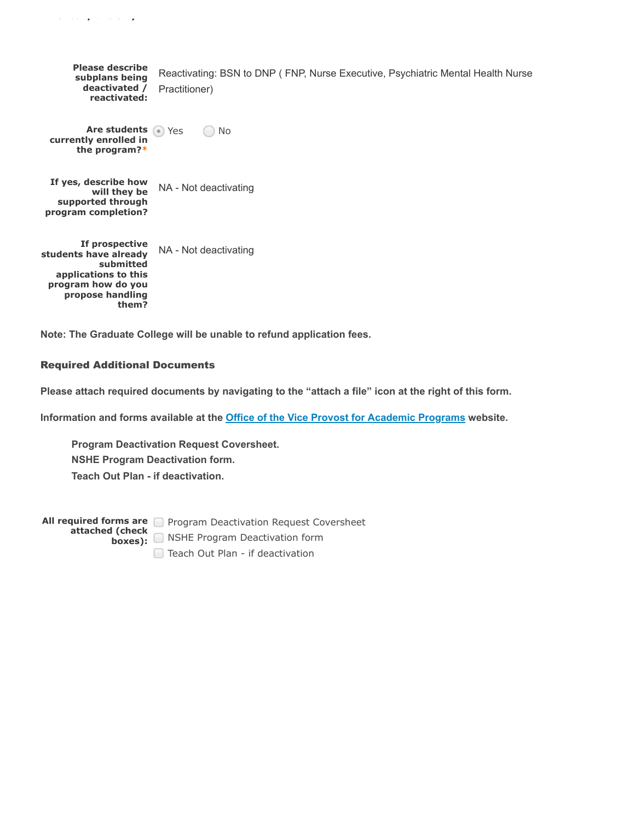| <b>Please describe</b><br>subplans being<br>deactivated /<br>reactivated:                                                       | Reactivating: BSN to DNP (FNP, Nurse Executive, Psychiatric Mental Health Nurse<br>Practitioner) |
|---------------------------------------------------------------------------------------------------------------------------------|--------------------------------------------------------------------------------------------------|
| Are students • Yes<br>currently enrolled in<br>the program?*                                                                    | <b>No</b>                                                                                        |
| If yes, describe how<br>will they be<br>supported through<br>program completion?                                                | NA - Not deactivating                                                                            |
| If prospective<br>students have already<br>submitted<br>applications to this<br>program how do you<br>propose handling<br>them? | NA - Not deactivating                                                                            |

**Note: The Graduate College will be unable to refund application fees.**

#### Required Additional Documents

**o subp a s o y**

**Please attach required documents by navigating to the "attach a file" icon at the right of this form.**

**Information and forms available at the [Office of the Vice Provost for Academic Programs](https://www.unlv.edu/provost/vpap/actions) website.**

**Program Deactivation Request Coversheet. NSHE Program Deactivation form. Teach Out Plan - if deactivation.**

**All required forms are** Program Deactivation Request Coversheet **attached (check boxes):** NSHE Program Deactivation form □ Teach Out Plan - if deactivation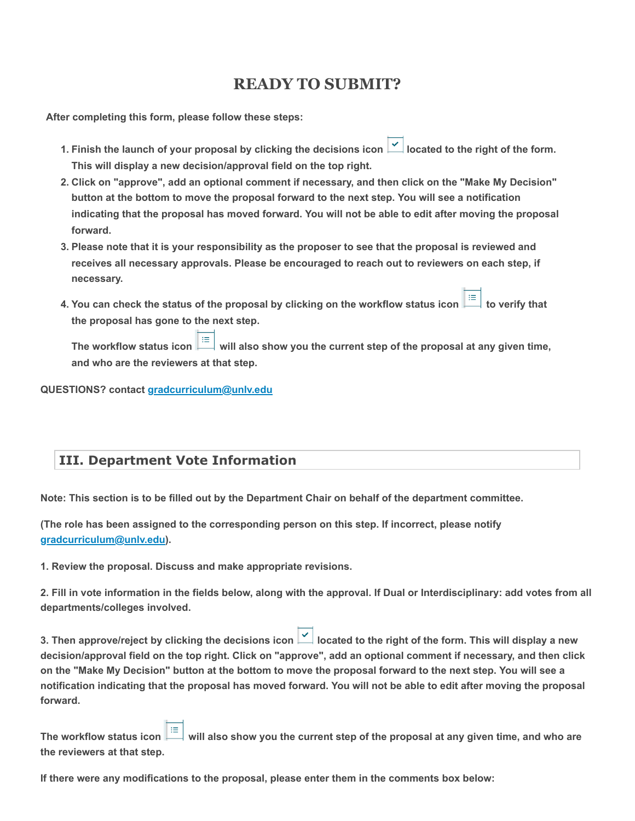# **READY TO SUBMIT?**

 **After completing this form, please follow these steps:**

- 1. Finish the launch of your proposal by clicking the decisions icon **1** located to the right of the form. **This will display a new decision/approval field on the top right.**
- **2. Click on "approve", add an optional comment if necessary, and then click on the "Make My Decision" button at the bottom to move the proposal forward to the next step. You will see a notification indicating that the proposal has moved forward. You will not be able to edit after moving the proposal forward.**
- **3. Please note that it is your responsibility as the proposer to see that the proposal is reviewed and receives all necessary approvals. Please be encouraged to reach out to reviewers on each step, if necessary.**
- 4. You can check the status of the proposal by clicking on the workflow status icon  $\Box$  to verify that **the proposal has gone to the next step.**

The workflow status icon  $\frac{1}{n}$  will also show you the current step of the proposal at any given time, **and who are the reviewers at that step.**

**QUESTIONS? contact [gradcurriculum@unlv.edu](mailto:gradcurriculum@unlv.edu)**

### **III. Department Vote Information**

**Note: This section is to be filled out by the Department Chair on behalf of the department committee.**

**(The role has been assigned to the corresponding person on this step. If incorrect, please notify [gradcurriculum@unlv.edu\)](mailto:gradcurriculum@unlv.edu).**

**1. Review the proposal. Discuss and make appropriate revisions.**

**2. Fill in vote information in the fields below, along with the approval. If Dual or Interdisciplinary: add votes from all departments/colleges involved.**

**3. Then approve/reject by clicking the decisions icon**  $\leq$  **located to the right of the form. This will display a new decision/approval field on the top right. Click on "approve", add an optional comment if necessary, and then click on the "Make My Decision" button at the bottom to move the proposal forward to the next step. You will see a notification indicating that the proposal has moved forward. You will not be able to edit after moving the proposal forward.**

**The workflow status icon**  $\equiv$  **will also show you the current step of the proposal at any given time, and who are the reviewers at that step.**

**If there were any modifications to the proposal, please enter them in the comments box below:**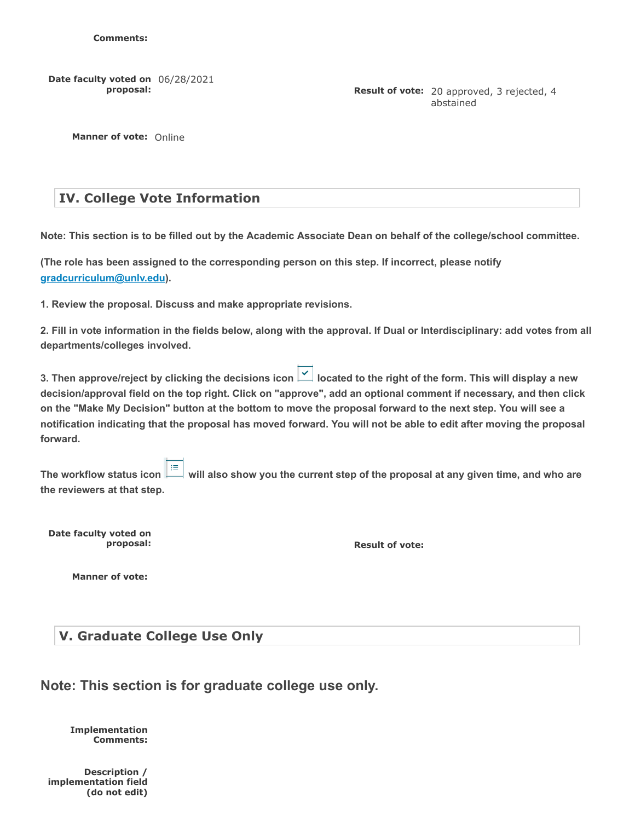**Date faculty voted on** 06/28/2021 **proposal:**

**Result of vote:** 20 approved, 3 rejected, 4 abstained

**Manner of vote:** Online

### **IV. College Vote Information**

**Note: This section is to be filled out by the Academic Associate Dean on behalf of the college/school committee.**

**(The role has been assigned to the corresponding person on this step. If incorrect, please notify [gradcurriculum@unlv.edu\)](mailto:gradcurriculum@unlv.edu).**

**1. Review the proposal. Discuss and make appropriate revisions.**

**2. Fill in vote information in the fields below, along with the approval. If Dual or Interdisciplinary: add votes from all departments/colleges involved.**

**3. Then approve/reject by clicking the decisions icon |**  $\leq$  **| located to the right of the form. This will display a new decision/approval field on the top right. Click on "approve", add an optional comment if necessary, and then click on the "Make My Decision" button at the bottom to move the proposal forward to the next step. You will see a notification indicating that the proposal has moved forward. You will not be able to edit after moving the proposal forward.**

**The workflow status icon**  $\equiv$  will also show you the current step of the proposal at any given time, and who are **the reviewers at that step.**

**Date faculty voted on**

**Proposal: Result of vote: Result of vote:** 

**Manner of vote:**

#### **V. Graduate College Use Only**

|  |  | Note: This section is for graduate college use only. |  |  |
|--|--|------------------------------------------------------|--|--|
|  |  |                                                      |  |  |

**Implementation Comments:**

**Description / implementation field (do not edit)**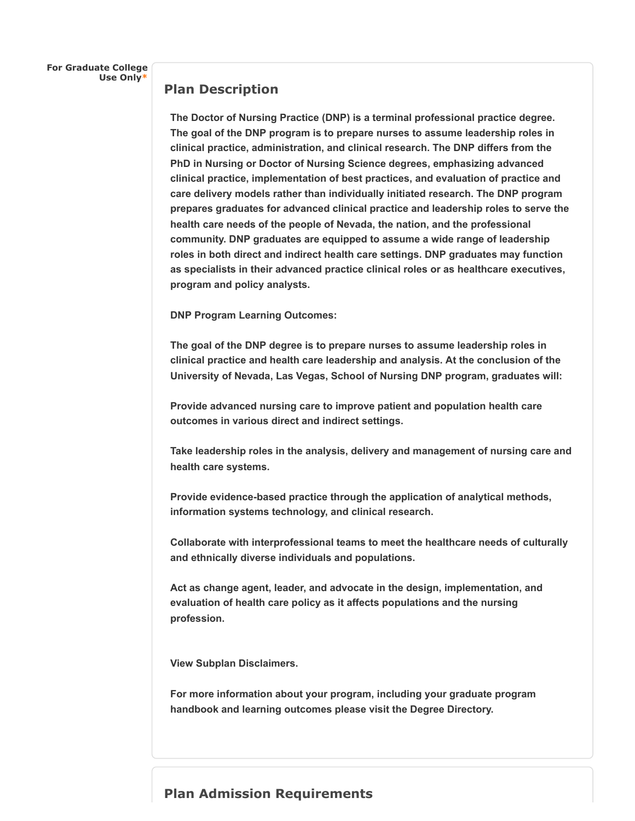**For Graduate College Use Only\***

#### **Plan Description**

**The Doctor of Nursing Practice (DNP) is a terminal professional practice degree. The goal of the DNP program is to prepare nurses to assume leadership roles in clinical practice, administration, and clinical research. The DNP differs from the PhD in Nursing or Doctor of Nursing Science degrees, emphasizing advanced clinical practice, implementation of best practices, and evaluation of practice and care delivery models rather than individually initiated research. The DNP program prepares graduates for advanced clinical practice and leadership roles to serve the health care needs of the people of Nevada, the nation, and the professional community. DNP graduates are equipped to assume a wide range of leadership roles in both direct and indirect health care settings. DNP graduates may function as specialists in their advanced practice clinical roles or as healthcare executives, program and policy analysts.**

**DNP Program Learning Outcomes:**

**The goal of the DNP degree is to prepare nurses to assume leadership roles in clinical practice and health care leadership and analysis. At the conclusion of the University of Nevada, Las Vegas, School of Nursing DNP program, graduates will:**

**Provide advanced nursing care to improve patient and population health care outcomes in various direct and indirect settings.**

**Take leadership roles in the analysis, delivery and management of nursing care and health care systems.**

**Provide evidence-based practice through the application of analytical methods, information systems technology, and clinical research.**

**Collaborate with interprofessional teams to meet the healthcare needs of culturally and ethnically diverse individuals and populations.**

**Act as change agent, leader, and advocate in the design, implementation, and evaluation of health care policy as it affects populations and the nursing profession.**

**View Subplan Disclaimers.**

**For more information about your program, including your graduate program handbook and learning outcomes please visit the Degree Directory.**

### **Plan Admission Requirements**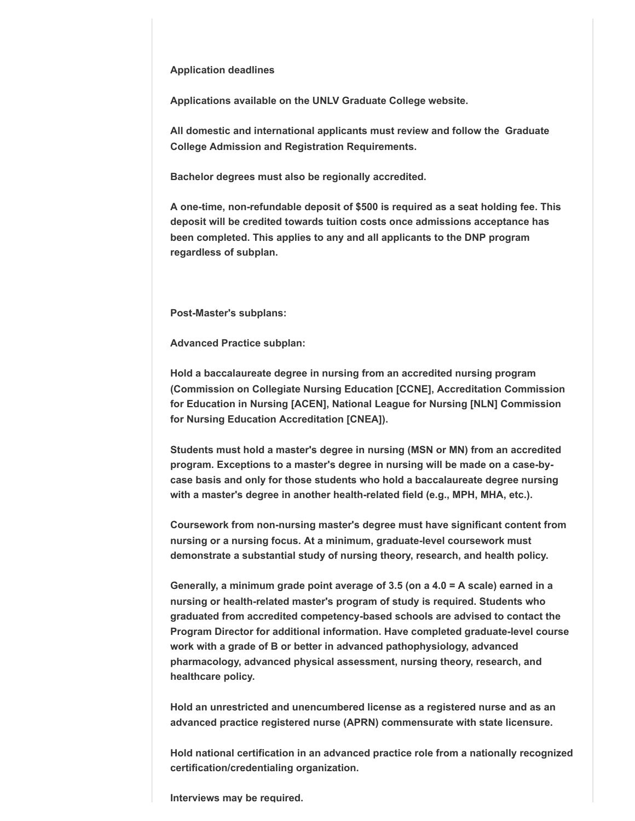#### **Application deadlines**

**Applications available on the UNLV Graduate College website.**

**All domestic and international applicants must review and follow the Graduate College Admission and Registration Requirements.**

**Bachelor degrees must also be regionally accredited.**

**A one-time, non-refundable deposit of \$500 is required as a seat holding fee. This deposit will be credited towards tuition costs once admissions acceptance has been completed. This applies to any and all applicants to the DNP program regardless of subplan.**

**Post-Master's subplans:** 

**Advanced Practice subplan:**

**Hold a baccalaureate degree in nursing from an accredited nursing program (Commission on Collegiate Nursing Education [CCNE], Accreditation Commission for Education in Nursing [ACEN], National League for Nursing [NLN] Commission for Nursing Education Accreditation [CNEA]).**

**Students must hold a master's degree in nursing (MSN or MN) from an accredited program. Exceptions to a master's degree in nursing will be made on a case-bycase basis and only for those students who hold a baccalaureate degree nursing with a master's degree in another health-related field (e.g., MPH, MHA, etc.).**

**Coursework from non-nursing master's degree must have significant content from nursing or a nursing focus. At a minimum, graduate-level coursework must demonstrate a substantial study of nursing theory, research, and health policy.**

**Generally, a minimum grade point average of 3.5 (on a 4.0 = A scale) earned in a nursing or health-related master's program of study is required. Students who graduated from accredited competency-based schools are advised to contact the Program Director for additional information. Have completed graduate-level course work with a grade of B or better in advanced pathophysiology, advanced pharmacology, advanced physical assessment, nursing theory, research, and healthcare policy.**

**Hold an unrestricted and unencumbered license as a registered nurse and as an advanced practice registered nurse (APRN) commensurate with state licensure.**

**Hold national certification in an advanced practice role from a nationally recognized certification/credentialing organization.**

**Interviews may be required.**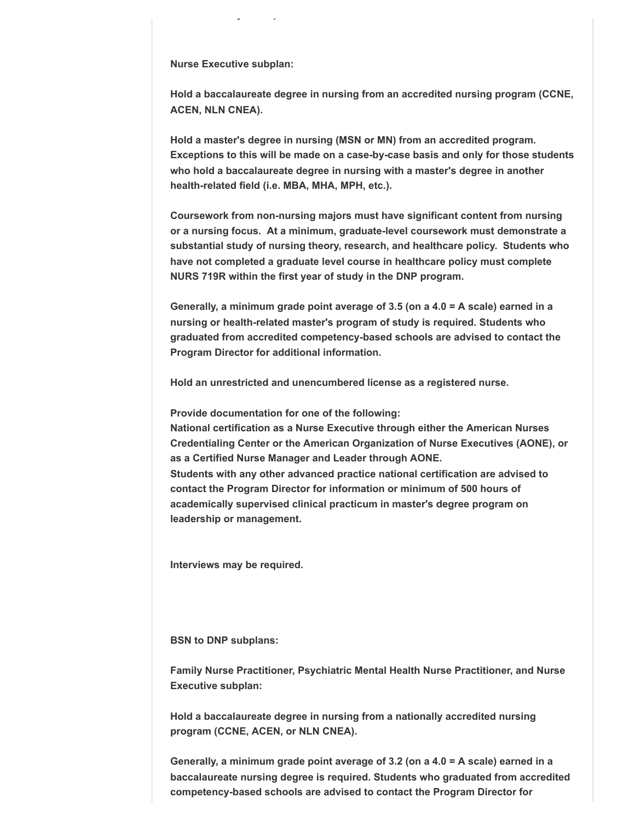**Nurse Executive subplan:**

**y q**

**Hold a baccalaureate degree in nursing from an accredited nursing program (CCNE, ACEN, NLN CNEA).**

**Hold a master's degree in nursing (MSN or MN) from an accredited program. Exceptions to this will be made on a case-by-case basis and only for those students who hold a baccalaureate degree in nursing with a master's degree in another health-related field (i.e. MBA, MHA, MPH, etc.).**

**Coursework from non-nursing majors must have significant content from nursing or a nursing focus. At a minimum, graduate-level coursework must demonstrate a substantial study of nursing theory, research, and healthcare policy. Students who have not completed a graduate level course in healthcare policy must complete NURS 719R within the first year of study in the DNP program.**

**Generally, a minimum grade point average of 3.5 (on a 4.0 = A scale) earned in a nursing or health-related master's program of study is required. Students who graduated from accredited competency-based schools are advised to contact the Program Director for additional information.**

**Hold an unrestricted and unencumbered license as a registered nurse.**

**Provide documentation for one of the following:**

**National certification as a Nurse Executive through either the American Nurses Credentialing Center or the American Organization of Nurse Executives (AONE), or as a Certified Nurse Manager and Leader through AONE. Students with any other advanced practice national certification are advised to contact the Program Director for information or minimum of 500 hours of academically supervised clinical practicum in master's degree program on leadership or management.**

**Interviews may be required.**

**BSN to DNP subplans:** 

**Family Nurse Practitioner, Psychiatric Mental Health Nurse Practitioner, and Nurse Executive subplan:**

**Hold a baccalaureate degree in nursing from a nationally accredited nursing program (CCNE, ACEN, or NLN CNEA).**

**Generally, a minimum grade point average of 3.2 (on a 4.0 = A scale) earned in a baccalaureate nursing degree is required. Students who graduated from accredited competency-based schools are advised to contact the Program Director for**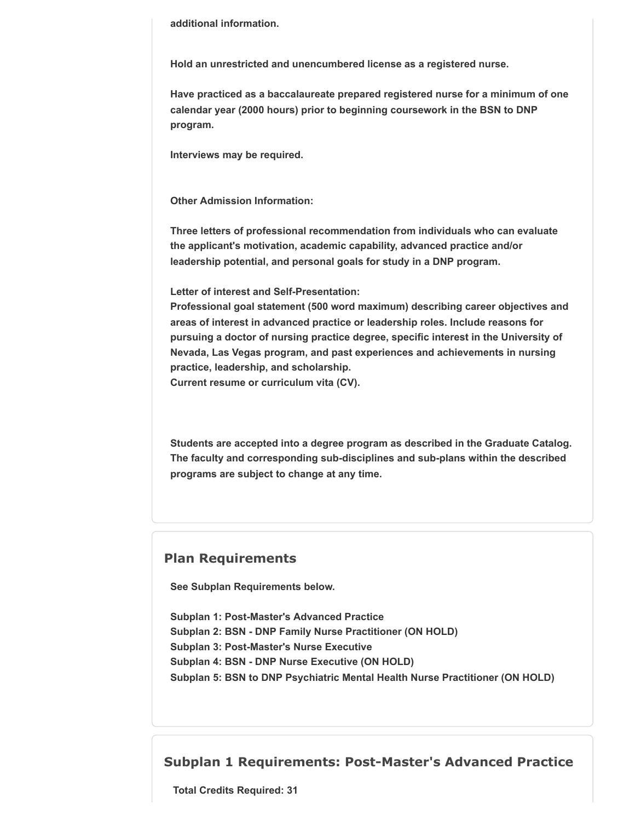**additional information.**

**Hold an unrestricted and unencumbered license as a registered nurse.**

**Have practiced as a baccalaureate prepared registered nurse for a minimum of one calendar year (2000 hours) prior to beginning coursework in the BSN to DNP program.**

**Interviews may be required.**

**Other Admission Information:**

**Three letters of professional recommendation from individuals who can evaluate the applicant's motivation, academic capability, advanced practice and/or leadership potential, and personal goals for study in a DNP program.**

**Letter of interest and Self-Presentation:**

**Professional goal statement (500 word maximum) describing career objectives and areas of interest in advanced practice or leadership roles. Include reasons for pursuing a doctor of nursing practice degree, specific interest in the University of Nevada, Las Vegas program, and past experiences and achievements in nursing practice, leadership, and scholarship.**

**Current resume or curriculum vita (CV).**

**Students are accepted into a degree program as described in the Graduate Catalog. The faculty and corresponding sub-disciplines and sub-plans within the described programs are subject to change at any time.**

#### **Plan Requirements**

**See Subplan Requirements below.**

**Subplan 1: Post-Master's Advanced Practice Subplan 2: BSN - DNP Family Nurse Practitioner (ON HOLD) Subplan 3: Post-Master's Nurse Executive Subplan 4: BSN - DNP Nurse Executive (ON HOLD) Subplan 5: BSN to DNP Psychiatric Mental Health Nurse Practitioner (ON HOLD)**

#### **Subplan 1 Requirements: Post-Master's Advanced Practice**

**Total Credits Required: 31**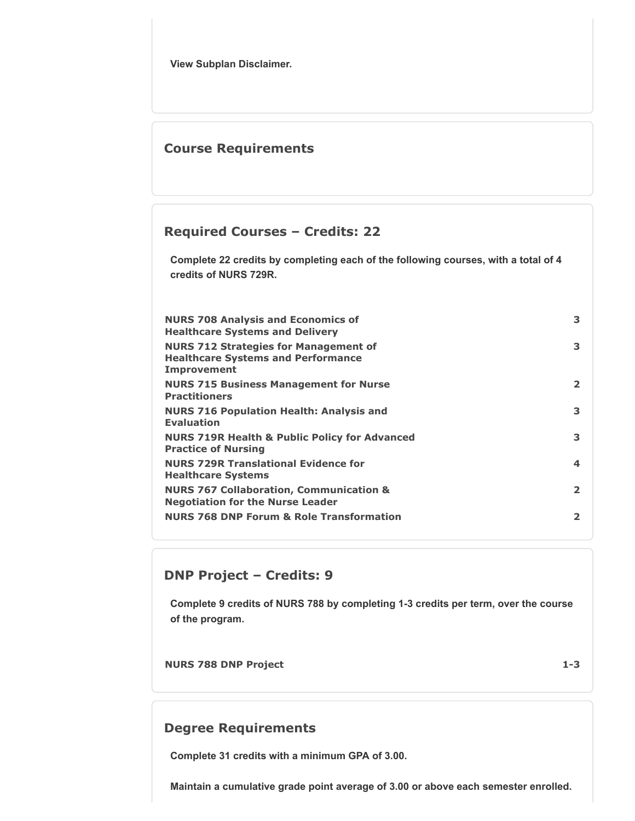**View Subplan Disclaimer.**

### **Course Requirements**

### **Required Courses – Credits: 22**

**Complete 22 credits by completing each of the following courses, with a total of 4 credits of NURS 729R.**

| <b>NURS 708 Analysis and Economics of</b><br><b>Healthcare Systems and Delivery</b>                      | 3              |
|----------------------------------------------------------------------------------------------------------|----------------|
| <b>NURS 712 Strategies for Management of</b><br><b>Healthcare Systems and Performance</b><br>Improvement | 3              |
| <b>NURS 715 Business Management for Nurse</b><br><b>Practitioners</b>                                    | $\overline{2}$ |
| <b>NURS 716 Population Health: Analysis and</b><br><b>Evaluation</b>                                     | 3              |
| <b>NURS 719R Health &amp; Public Policy for Advanced</b><br><b>Practice of Nursing</b>                   | 3              |
| <b>NURS 729R Translational Evidence for</b><br><b>Healthcare Systems</b>                                 | 4              |
| <b>NURS 767 Collaboration, Communication &amp;</b><br><b>Negotiation for the Nurse Leader</b>            | $\overline{2}$ |
| <b>NURS 768 DNP Forum &amp; Role Transformation</b>                                                      | 2              |

### **DNP Project – Credits: 9**

**Complete 9 credits of NURS 788 by completing 1-3 credits per term, over the course of the program.**

**NURS 788 DNP Project 1-3**

### **Degree Requirements**

**Complete 31 credits with a minimum GPA of 3.00.**

**Maintain a cumulative grade point average of 3.00 or above each semester enrolled.**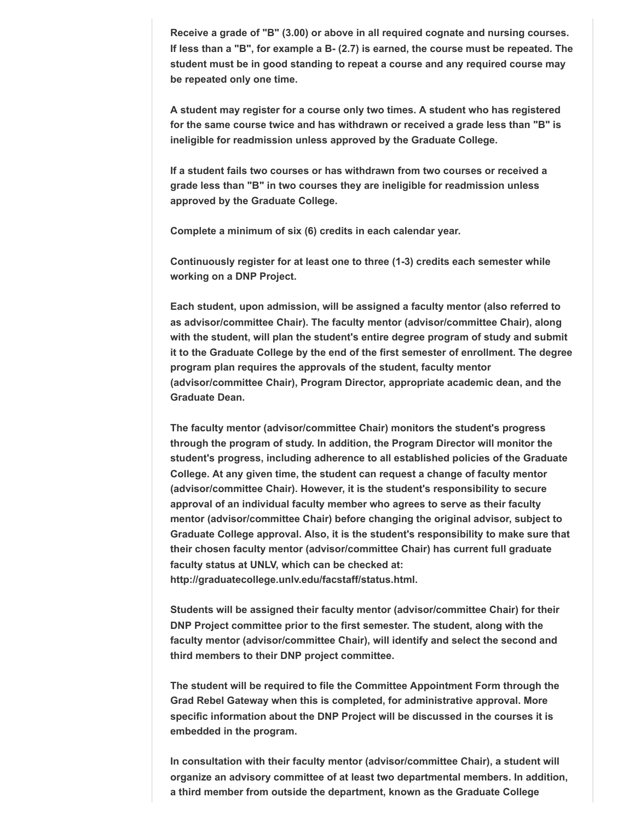**Receive a grade of "B" (3.00) or above in all required cognate and nursing courses. If less than a "B", for example a B- (2.7) is earned, the course must be repeated. The student must be in good standing to repeat a course and any required course may be repeated only one time.**

**A student may register for a course only two times. A student who has registered for the same course twice and has withdrawn or received a grade less than "B" is ineligible for readmission unless approved by the Graduate College.**

**If a student fails two courses or has withdrawn from two courses or received a grade less than "B" in two courses they are ineligible for readmission unless approved by the Graduate College.**

**Complete a minimum of six (6) credits in each calendar year.**

**Continuously register for at least one to three (1-3) credits each semester while working on a DNP Project.**

**Each student, upon admission, will be assigned a faculty mentor (also referred to as advisor/committee Chair). The faculty mentor (advisor/committee Chair), along with the student, will plan the student's entire degree program of study and submit it to the Graduate College by the end of the first semester of enrollment. The degree program plan requires the approvals of the student, faculty mentor (advisor/committee Chair), Program Director, appropriate academic dean, and the Graduate Dean.**

**The faculty mentor (advisor/committee Chair) monitors the student's progress through the program of study. In addition, the Program Director will monitor the student's progress, including adherence to all established policies of the Graduate College. At any given time, the student can request a change of faculty mentor (advisor/committee Chair). However, it is the student's responsibility to secure approval of an individual faculty member who agrees to serve as their faculty mentor (advisor/committee Chair) before changing the original advisor, subject to Graduate College approval. Also, it is the student's responsibility to make sure that their chosen faculty mentor (advisor/committee Chair) has current full graduate faculty status at UNLV, which can be checked at: http://graduatecollege.unlv.edu/facstaff/status.html.**

**Students will be assigned their faculty mentor (advisor/committee Chair) for their DNP Project committee prior to the first semester. The student, along with the faculty mentor (advisor/committee Chair), will identify and select the second and third members to their DNP project committee.**

**The student will be required to file the Committee Appointment Form through the Grad Rebel Gateway when this is completed, for administrative approval. More specific information about the DNP Project will be discussed in the courses it is embedded in the program.**

**In consultation with their faculty mentor (advisor/committee Chair), a student will organize an advisory committee of at least two departmental members. In addition, a third member from outside the department, known as the Graduate College**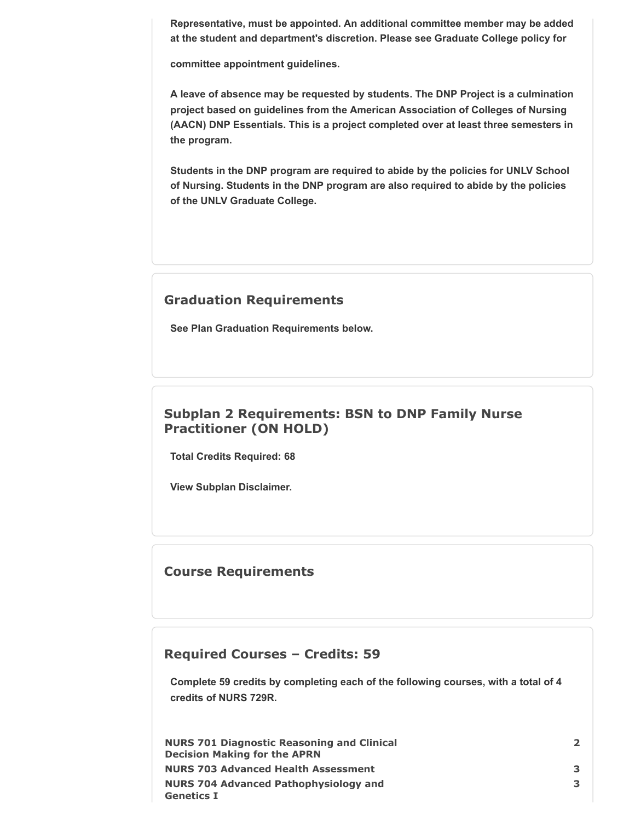**Representative, must be appointed. An additional committee member may be added at the student and department's discretion. Please see Graduate College policy for**

**committee appointment guidelines.**

**A leave of absence may be requested by students. The DNP Project is a culmination project based on guidelines from the American Association of Colleges of Nursing (AACN) DNP Essentials. This is a project completed over at least three semesters in the program.**

**Students in the DNP program are required to abide by the policies for UNLV School of Nursing. Students in the DNP program are also required to abide by the policies of the UNLV Graduate College.**

### **Graduation Requirements**

**See Plan Graduation Requirements below.**

# **Subplan 2 Requirements: BSN to DNP Family Nurse Practitioner (ON HOLD)**

**Total Credits Required: 68**

**View Subplan Disclaimer.**

### **Course Requirements**

### **Required Courses – Credits: 59**

**Complete 59 credits by completing each of the following courses, with a total of 4 credits of NURS 729R.**

| <b>NURS 701 Diagnostic Reasoning and Clinical</b> | $\overline{2}$ |
|---------------------------------------------------|----------------|
| <b>Decision Making for the APRN</b>               |                |
| <b>NURS 703 Advanced Health Assessment</b>        | 3              |
| <b>NURS 704 Advanced Pathophysiology and</b>      | 3              |
| <b>Genetics I</b>                                 |                |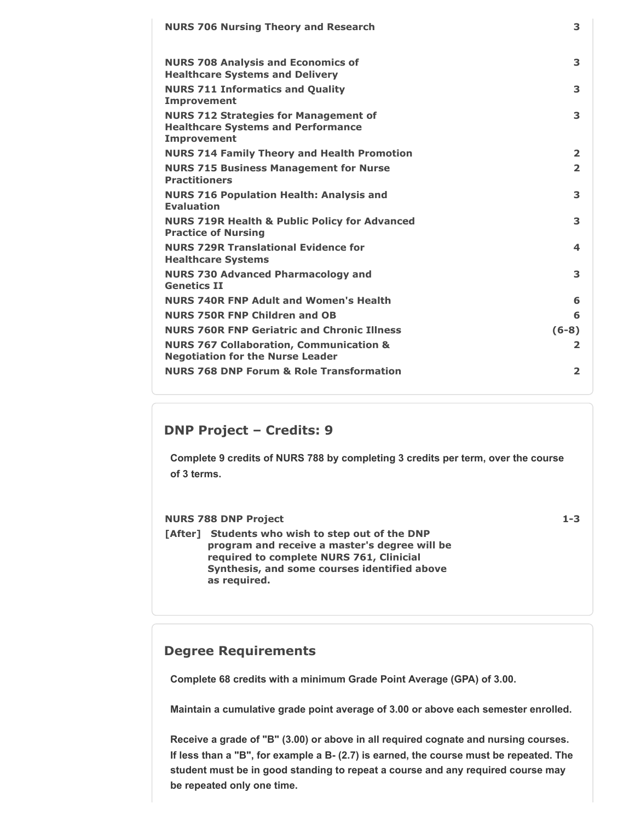| <b>NURS 706 Nursing Theory and Research</b>                                                                     | 3              |
|-----------------------------------------------------------------------------------------------------------------|----------------|
| <b>NURS 708 Analysis and Economics of</b><br><b>Healthcare Systems and Delivery</b>                             | 3              |
| <b>NURS 711 Informatics and Quality</b><br><b>Improvement</b>                                                   | 3              |
| <b>NURS 712 Strategies for Management of</b><br><b>Healthcare Systems and Performance</b><br><b>Improvement</b> | 3              |
| <b>NURS 714 Family Theory and Health Promotion</b>                                                              | $\overline{2}$ |
| <b>NURS 715 Business Management for Nurse</b><br><b>Practitioners</b>                                           | $\overline{2}$ |
| <b>NURS 716 Population Health: Analysis and</b><br><b>Evaluation</b>                                            | 3              |
| <b>NURS 719R Health &amp; Public Policy for Advanced</b><br><b>Practice of Nursing</b>                          | 3              |
| <b>NURS 729R Translational Evidence for</b><br><b>Healthcare Systems</b>                                        | 4              |
| <b>NURS 730 Advanced Pharmacology and</b><br><b>Genetics TT</b>                                                 | 3              |
| <b>NURS 740R FNP Adult and Women's Health</b>                                                                   | 6              |
| <b>NURS 750R FNP Children and OB</b>                                                                            | 6              |
| <b>NURS 760R FNP Geriatric and Chronic Illness</b>                                                              | $(6-8)$        |
| <b>NURS 767 Collaboration, Communication &amp;</b><br><b>Negotiation for the Nurse Leader</b>                   | 2              |
| <b>NURS 768 DNP Forum &amp; Role Transformation</b>                                                             | $\overline{2}$ |

### **DNP Project – Credits: 9**

**Complete 9 credits of NURS 788 by completing 3 credits per term, over the course of 3 terms.**

#### **NURS 788 DNP Project 1-3**

**[After] Students who wish to step out of the DNP program and receive a master's degree will be required to complete NURS 761, Clinicial Synthesis, and some courses identified above as required.**

### **Degree Requirements**

**Complete 68 credits with a minimum Grade Point Average (GPA) of 3.00.**

**Maintain a cumulative grade point average of 3.00 or above each semester enrolled.**

**Receive a grade of "B" (3.00) or above in all required cognate and nursing courses. If less than a "B", for example a B- (2.7) is earned, the course must be repeated. The student must be in good standing to repeat a course and any required course may be repeated only one time.**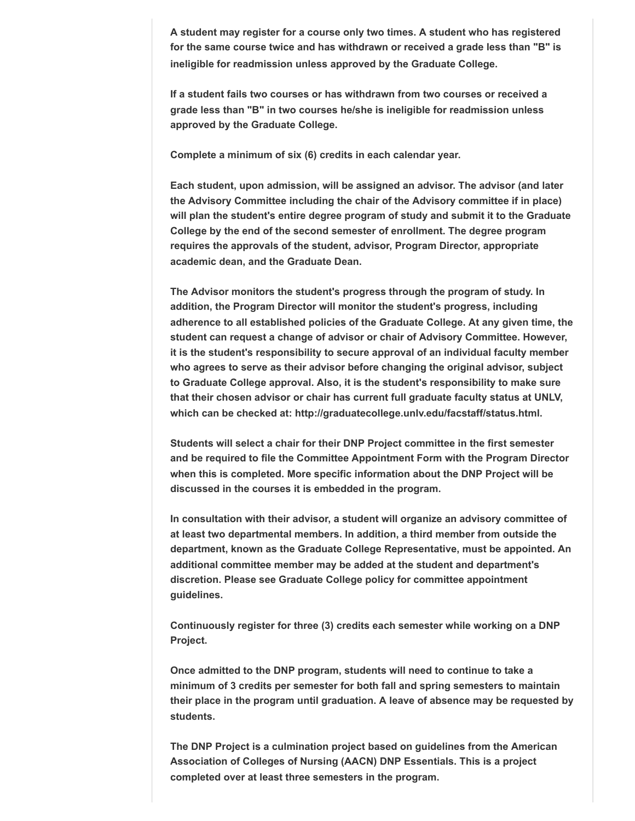**A student may register for a course only two times. A student who has registered for the same course twice and has withdrawn or received a grade less than "B" is ineligible for readmission unless approved by the Graduate College.**

**If a student fails two courses or has withdrawn from two courses or received a grade less than "B" in two courses he/she is ineligible for readmission unless approved by the Graduate College.**

**Complete a minimum of six (6) credits in each calendar year.**

**Each student, upon admission, will be assigned an advisor. The advisor (and later the Advisory Committee including the chair of the Advisory committee if in place) will plan the student's entire degree program of study and submit it to the Graduate College by the end of the second semester of enrollment. The degree program requires the approvals of the student, advisor, Program Director, appropriate academic dean, and the Graduate Dean.**

**The Advisor monitors the student's progress through the program of study. In addition, the Program Director will monitor the student's progress, including adherence to all established policies of the Graduate College. At any given time, the student can request a change of advisor or chair of Advisory Committee. However, it is the student's responsibility to secure approval of an individual faculty member who agrees to serve as their advisor before changing the original advisor, subject to Graduate College approval. Also, it is the student's responsibility to make sure that their chosen advisor or chair has current full graduate faculty status at UNLV, which can be checked at: http://graduatecollege.unlv.edu/facstaff/status.html.**

**Students will select a chair for their DNP Project committee in the first semester and be required to file the Committee Appointment Form with the Program Director when this is completed. More specific information about the DNP Project will be discussed in the courses it is embedded in the program.**

**In consultation with their advisor, a student will organize an advisory committee of at least two departmental members. In addition, a third member from outside the department, known as the Graduate College Representative, must be appointed. An additional committee member may be added at the student and department's discretion. Please see Graduate College policy for committee appointment guidelines.**

**Continuously register for three (3) credits each semester while working on a DNP Project.**

**Once admitted to the DNP program, students will need to continue to take a minimum of 3 credits per semester for both fall and spring semesters to maintain their place in the program until graduation. A leave of absence may be requested by students.**

**The DNP Project is a culmination project based on guidelines from the American Association of Colleges of Nursing (AACN) DNP Essentials. This is a project completed over at least three semesters in the program.**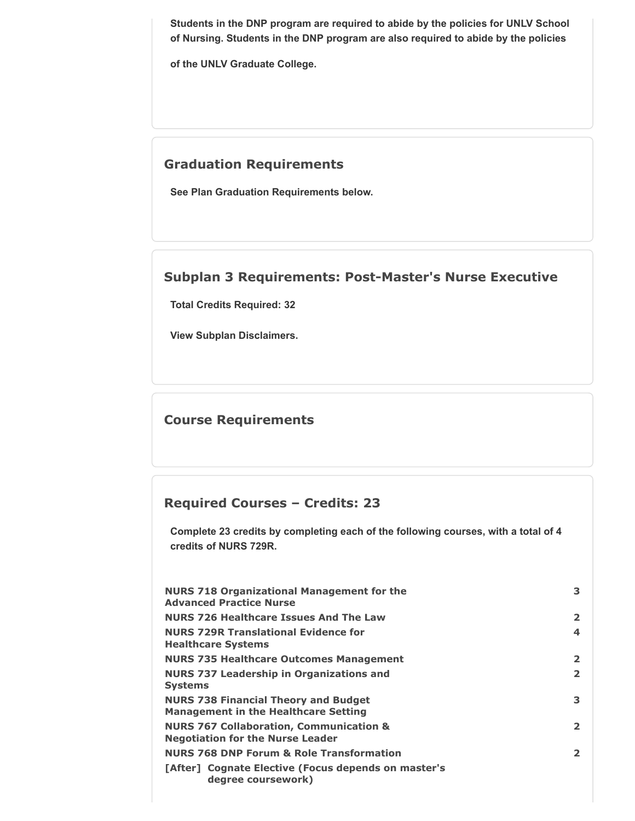**Students in the DNP program are required to abide by the policies for UNLV School of Nursing. Students in the DNP program are also required to abide by the policies**

**of the UNLV Graduate College.**

### **Graduation Requirements**

**See Plan Graduation Requirements below.**

### **Subplan 3 Requirements: Post-Master's Nurse Executive**

**Total Credits Required: 32**

**View Subplan Disclaimers.**

### **Course Requirements**

# **Required Courses – Credits: 23**

**Complete 23 credits by completing each of the following courses, with a total of 4 credits of NURS 729R.**

| <b>NURS 718 Organizational Management for the</b><br><b>Advanced Practice Nurse</b>           | 3                       |
|-----------------------------------------------------------------------------------------------|-------------------------|
| <b>NURS 726 Healthcare Issues And The Law</b>                                                 | $\mathbf{2}$            |
| <b>NURS 729R Translational Evidence for</b><br><b>Healthcare Systems</b>                      | $\boldsymbol{4}$        |
| <b>NURS 735 Healthcare Outcomes Management</b>                                                | $\overline{\mathbf{2}}$ |
| <b>NURS 737 Leadership in Organizations and</b><br><b>Systems</b>                             | $\mathbf{2}$            |
| <b>NURS 738 Financial Theory and Budget</b><br><b>Management in the Healthcare Setting</b>    | 3                       |
| <b>NURS 767 Collaboration, Communication &amp;</b><br><b>Negotiation for the Nurse Leader</b> | $\overline{2}$          |
| <b>NURS 768 DNP Forum &amp; Role Transformation</b>                                           | $\overline{2}$          |
| [After] Cognate Elective (Focus depends on master's<br>degree coursework)                     |                         |
|                                                                                               |                         |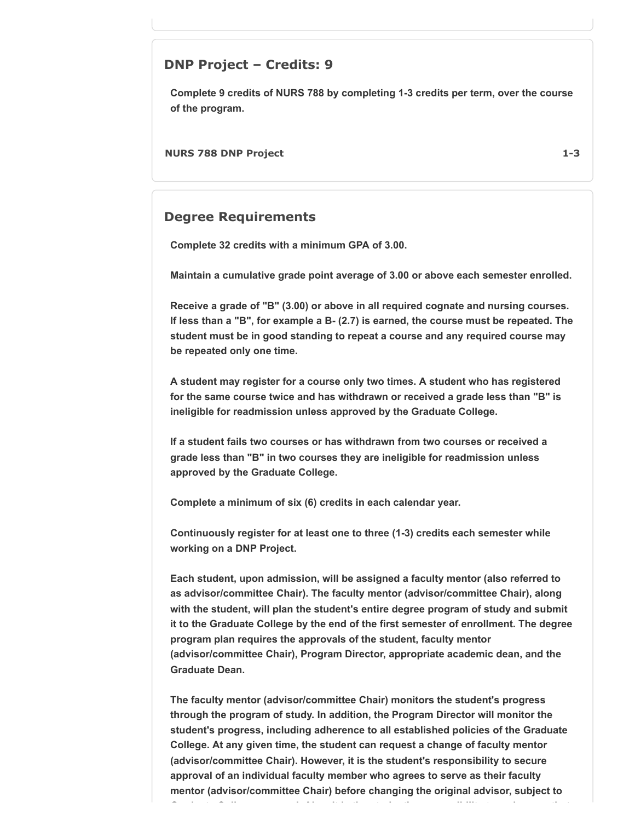### **DNP Project – Credits: 9**

**Complete 9 credits of NURS 788 by completing 1-3 credits per term, over the course of the program.**

**NURS 788 DNP Project 1-3**

### **Degree Requirements**

**Complete 32 credits with a minimum GPA of 3.00.**

**Maintain a cumulative grade point average of 3.00 or above each semester enrolled.**

**Receive a grade of "B" (3.00) or above in all required cognate and nursing courses. If less than a "B", for example a B- (2.7) is earned, the course must be repeated. The student must be in good standing to repeat a course and any required course may be repeated only one time.**

**A student may register for a course only two times. A student who has registered for the same course twice and has withdrawn or received a grade less than "B" is ineligible for readmission unless approved by the Graduate College.**

**If a student fails two courses or has withdrawn from two courses or received a grade less than "B" in two courses they are ineligible for readmission unless approved by the Graduate College.**

**Complete a minimum of six (6) credits in each calendar year.**

**Continuously register for at least one to three (1-3) credits each semester while working on a DNP Project.**

**Each student, upon admission, will be assigned a faculty mentor (also referred to as advisor/committee Chair). The faculty mentor (advisor/committee Chair), along with the student, will plan the student's entire degree program of study and submit it to the Graduate College by the end of the first semester of enrollment. The degree program plan requires the approvals of the student, faculty mentor (advisor/committee Chair), Program Director, appropriate academic dean, and the Graduate Dean.**

**The faculty mentor (advisor/committee Chair) monitors the student's progress through the program of study. In addition, the Program Director will monitor the student's progress, including adherence to all established policies of the Graduate College. At any given time, the student can request a change of faculty mentor (advisor/committee Chair). However, it is the student's responsibility to secure approval of an individual faculty member who agrees to serve as their faculty mentor (advisor/committee Chair) before changing the original advisor, subject to G d t C ll l Al it i th t d t' ibilit t k th t**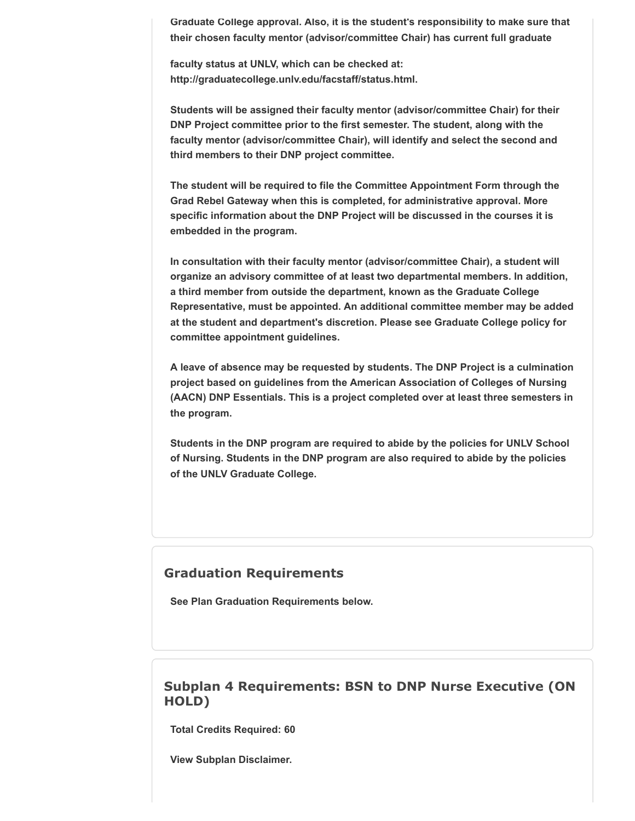**Graduate College approval. Also, it is the student's responsibility to make sure that their chosen faculty mentor (advisor/committee Chair) has current full graduate**

**faculty status at UNLV, which can be checked at: http://graduatecollege.unlv.edu/facstaff/status.html.**

**Students will be assigned their faculty mentor (advisor/committee Chair) for their DNP Project committee prior to the first semester. The student, along with the faculty mentor (advisor/committee Chair), will identify and select the second and third members to their DNP project committee.**

**The student will be required to file the Committee Appointment Form through the Grad Rebel Gateway when this is completed, for administrative approval. More specific information about the DNP Project will be discussed in the courses it is embedded in the program.**

**In consultation with their faculty mentor (advisor/committee Chair), a student will organize an advisory committee of at least two departmental members. In addition, a third member from outside the department, known as the Graduate College Representative, must be appointed. An additional committee member may be added at the student and department's discretion. Please see Graduate College policy for committee appointment guidelines.**

**A leave of absence may be requested by students. The DNP Project is a culmination project based on guidelines from the American Association of Colleges of Nursing (AACN) DNP Essentials. This is a project completed over at least three semesters in the program.**

**Students in the DNP program are required to abide by the policies for UNLV School of Nursing. Students in the DNP program are also required to abide by the policies of the UNLV Graduate College.**

#### **Graduation Requirements**

**See Plan Graduation Requirements below.**

### **Subplan 4 Requirements: BSN to DNP Nurse Executive (ON HOLD)**

**Total Credits Required: 60**

**View Subplan Disclaimer.**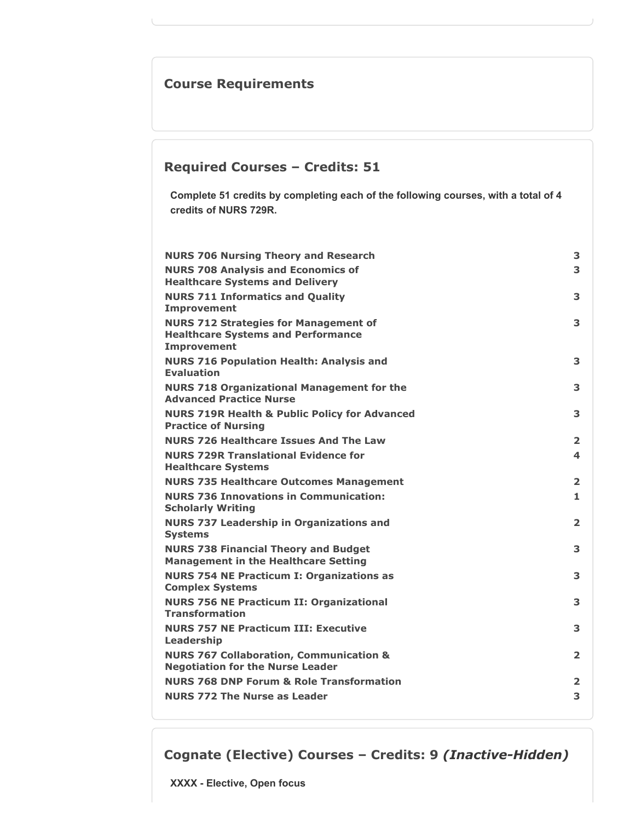# **Course Requirements**

# **Required Courses – Credits: 51**

**Complete 51 credits by completing each of the following courses, with a total of 4 credits of NURS 729R.**

| <b>NURS 706 Nursing Theory and Research</b>                                                                     | 3                       |
|-----------------------------------------------------------------------------------------------------------------|-------------------------|
| <b>NURS 708 Analysis and Economics of</b><br><b>Healthcare Systems and Delivery</b>                             | 3                       |
| <b>NURS 711 Informatics and Quality</b><br><b>Improvement</b>                                                   | 3                       |
| <b>NURS 712 Strategies for Management of</b><br><b>Healthcare Systems and Performance</b><br><b>Improvement</b> | 3                       |
| <b>NURS 716 Population Health: Analysis and</b><br><b>Evaluation</b>                                            | 3                       |
| <b>NURS 718 Organizational Management for the</b><br><b>Advanced Practice Nurse</b>                             | 3                       |
| <b>NURS 719R Health &amp; Public Policy for Advanced</b><br><b>Practice of Nursing</b>                          | 3                       |
| <b>NURS 726 Healthcare Issues And The Law</b>                                                                   | $\overline{2}$          |
| <b>NURS 729R Translational Evidence for</b><br><b>Healthcare Systems</b>                                        | 4                       |
| <b>NURS 735 Healthcare Outcomes Management</b>                                                                  | $\overline{\mathbf{2}}$ |
| <b>NURS 736 Innovations in Communication:</b><br><b>Scholarly Writing</b>                                       | 1                       |
| <b>NURS 737 Leadership in Organizations and</b><br><b>Systems</b>                                               | $\overline{\mathbf{2}}$ |
| <b>NURS 738 Financial Theory and Budget</b><br><b>Management in the Healthcare Setting</b>                      | 3                       |
| <b>NURS 754 NE Practicum I: Organizations as</b><br><b>Complex Systems</b>                                      | 3                       |
| <b>NURS 756 NE Practicum II: Organizational</b><br><b>Transformation</b>                                        | 3                       |
| <b>NURS 757 NE Practicum III: Executive</b><br>Leadership                                                       | 3                       |
| <b>NURS 767 Collaboration, Communication &amp;</b><br><b>Negotiation for the Nurse Leader</b>                   | $\overline{2}$          |
| <b>NURS 768 DNP Forum &amp; Role Transformation</b>                                                             | $\overline{\mathbf{2}}$ |
| <b>NURS 772 The Nurse as Leader</b>                                                                             | 3                       |

**Cognate (Elective) Courses – Credits: 9** *(Inactive-Hidden)*

**XXXX - Elective, Open focus**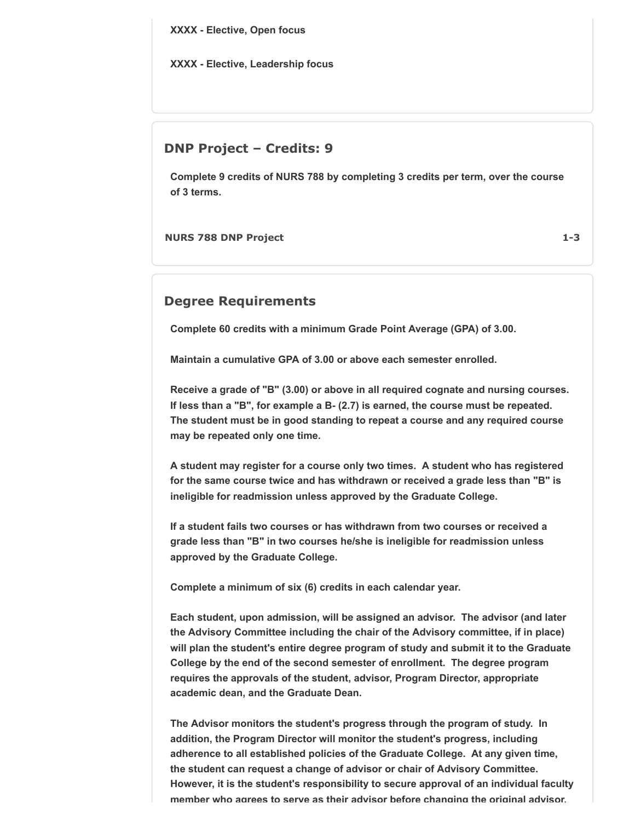**XXXX - Elective, Open focus**

**XXXX - Elective, Leadership focus**

### **DNP Project – Credits: 9**

**Complete 9 credits of NURS 788 by completing 3 credits per term, over the course of 3 terms.**

**NURS 788 DNP Project 1-3**

### **Degree Requirements**

**Complete 60 credits with a minimum Grade Point Average (GPA) of 3.00.**

**Maintain a cumulative GPA of 3.00 or above each semester enrolled.**

**Receive a grade of "B" (3.00) or above in all required cognate and nursing courses. If less than a "B", for example a B- (2.7) is earned, the course must be repeated. The student must be in good standing to repeat a course and any required course may be repeated only one time.**

**A student may register for a course only two times. A student who has registered for the same course twice and has withdrawn or received a grade less than "B" is ineligible for readmission unless approved by the Graduate College.**

**If a student fails two courses or has withdrawn from two courses or received a grade less than "B" in two courses he/she is ineligible for readmission unless approved by the Graduate College.**

**Complete a minimum of six (6) credits in each calendar year.**

**Each student, upon admission, will be assigned an advisor. The advisor (and later the Advisory Committee including the chair of the Advisory committee, if in place) will plan the student's entire degree program of study and submit it to the Graduate College by the end of the second semester of enrollment. The degree program requires the approvals of the student, advisor, Program Director, appropriate academic dean, and the Graduate Dean.**

**The Advisor monitors the student's progress through the program of study. In addition, the Program Director will monitor the student's progress, including adherence to all established policies of the Graduate College. At any given time, the student can request a change of advisor or chair of Advisory Committee. However, it is the student's responsibility to secure approval of an individual faculty member who agrees to serve as their advisor before changing the original advisor,**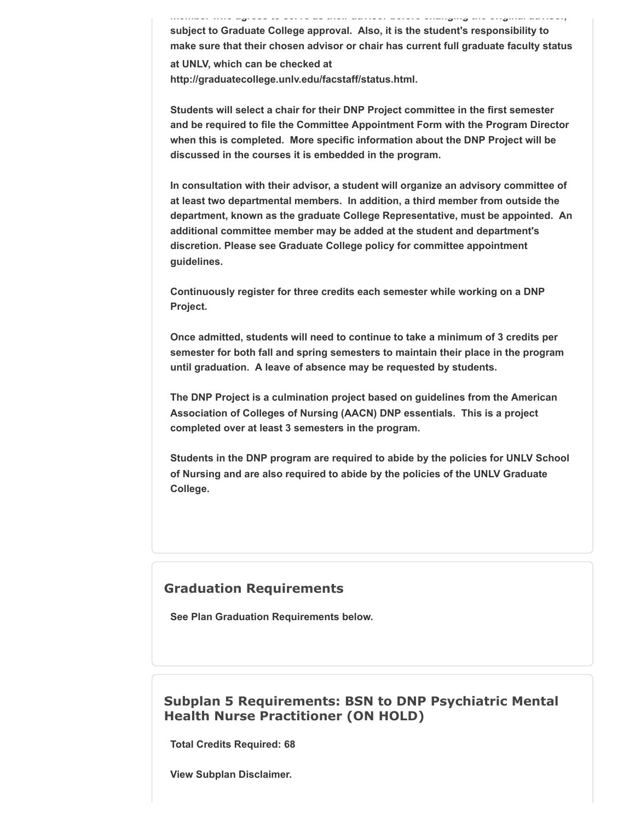**member who agrees to serve as their advisor before changing the original advisor, subject to Graduate College approval. Also, it is the student's responsibility to make sure that their chosen advisor or chair has current full graduate faculty status at UNLV, which can be checked at http://graduatecollege.unlv.edu/facstaff/status.html.**

**Students will select a chair for their DNP Project committee in the first semester and be required to file the Committee Appointment Form with the Program Director when this is completed. More specific information about the DNP Project will be discussed in the courses it is embedded in the program.**

**In consultation with their advisor, a student will organize an advisory committee of at least two departmental members. In addition, a third member from outside the department, known as the graduate College Representative, must be appointed. An additional committee member may be added at the student and department's discretion. Please see Graduate College policy for committee appointment guidelines.**

**Continuously register for three credits each semester while working on a DNP Project.**

**Once admitted, students will need to continue to take a minimum of 3 credits per semester for both fall and spring semesters to maintain their place in the program until graduation. A leave of absence may be requested by students.**

**The DNP Project is a culmination project based on guidelines from the American Association of Colleges of Nursing (AACN) DNP essentials. This is a project completed over at least 3 semesters in the program.**

**Students in the DNP program are required to abide by the policies for UNLV School of Nursing and are also required to abide by the policies of the UNLV Graduate College.**

#### **Graduation Requirements**

**See Plan Graduation Requirements below.**

### **Subplan 5 Requirements: BSN to DNP Psychiatric Mental Health Nurse Practitioner (ON HOLD)**

**Total Credits Required: 68**

**View Subplan Disclaimer.**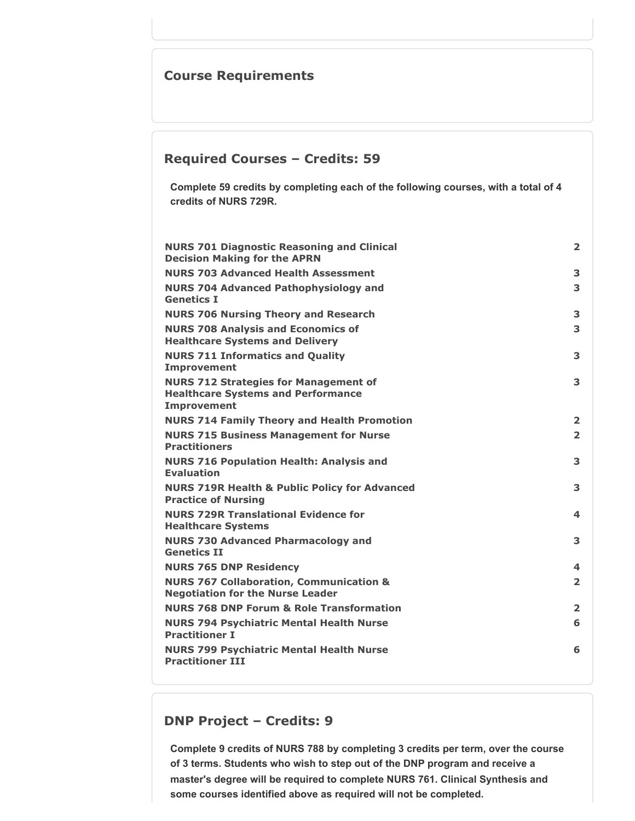# **Course Requirements**

### **Required Courses – Credits: 59**

**Complete 59 credits by completing each of the following courses, with a total of 4 credits of NURS 729R.**

| <b>NURS 701 Diagnostic Reasoning and Clinical</b><br><b>Decision Making for the APRN</b>                        | 2              |
|-----------------------------------------------------------------------------------------------------------------|----------------|
| <b>NURS 703 Advanced Health Assessment</b>                                                                      | 3              |
| <b>NURS 704 Advanced Pathophysiology and</b><br><b>Genetics I</b>                                               | 3              |
| <b>NURS 706 Nursing Theory and Research</b>                                                                     | 3              |
| <b>NURS 708 Analysis and Economics of</b><br><b>Healthcare Systems and Delivery</b>                             | 3              |
| <b>NURS 711 Informatics and Quality</b><br><b>Improvement</b>                                                   | 3              |
| <b>NURS 712 Strategies for Management of</b><br><b>Healthcare Systems and Performance</b><br><b>Improvement</b> | 3              |
| <b>NURS 714 Family Theory and Health Promotion</b>                                                              | $\overline{2}$ |
| <b>NURS 715 Business Management for Nurse</b><br><b>Practitioners</b>                                           | $\overline{2}$ |
| <b>NURS 716 Population Health: Analysis and</b><br><b>Evaluation</b>                                            | 3              |
| <b>NURS 719R Health &amp; Public Policy for Advanced</b><br><b>Practice of Nursing</b>                          | 3              |
| <b>NURS 729R Translational Evidence for</b><br><b>Healthcare Systems</b>                                        | 4              |
| <b>NURS 730 Advanced Pharmacology and</b><br><b>Genetics II</b>                                                 | 3              |
| <b>NURS 765 DNP Residency</b>                                                                                   | 4              |
| <b>NURS 767 Collaboration, Communication &amp;</b><br><b>Negotiation for the Nurse Leader</b>                   | $\overline{2}$ |
| <b>NURS 768 DNP Forum &amp; Role Transformation</b>                                                             | $\overline{2}$ |
| <b>NURS 794 Psychiatric Mental Health Nurse</b><br><b>Practitioner I</b>                                        | 6              |
| <b>NURS 799 Psychiatric Mental Health Nurse</b><br><b>Practitioner III</b>                                      | 6              |
|                                                                                                                 |                |

# **DNP Project – Credits: 9**

**Complete 9 credits of NURS 788 by completing 3 credits per term, over the course of 3 terms. Students who wish to step out of the DNP program and receive a master's degree will be required to complete NURS 761. Clinical Synthesis and some courses identified above as required will not be completed.**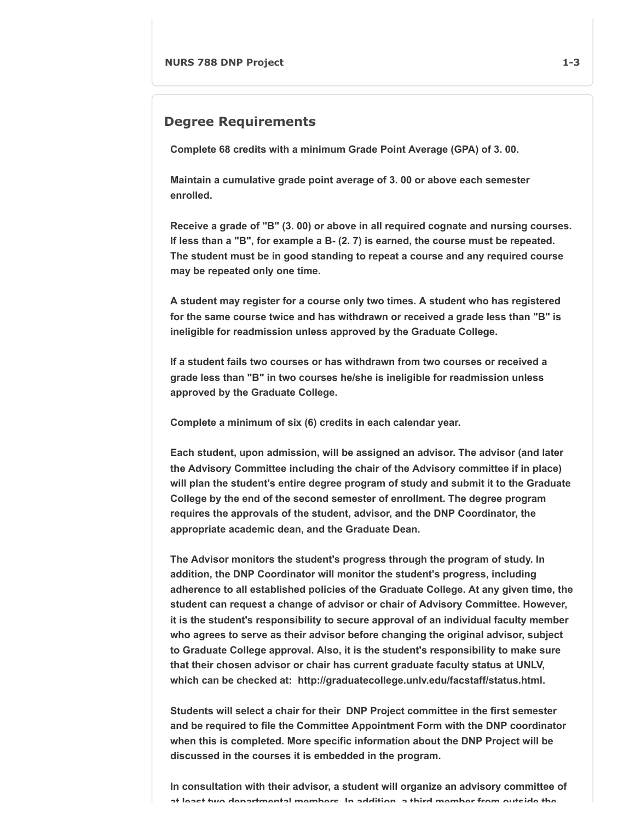#### **Degree Requirements**

**Complete 68 credits with a minimum Grade Point Average (GPA) of 3. 00.**

**Maintain a cumulative grade point average of 3. 00 or above each semester enrolled.**

**Receive a grade of "B" (3. 00) or above in all required cognate and nursing courses. If less than a "B", for example a B- (2. 7) is earned, the course must be repeated. The student must be in good standing to repeat a course and any required course may be repeated only one time.**

**A student may register for a course only two times. A student who has registered for the same course twice and has withdrawn or received a grade less than "B" is ineligible for readmission unless approved by the Graduate College.**

**If a student fails two courses or has withdrawn from two courses or received a grade less than "B" in two courses he/she is ineligible for readmission unless approved by the Graduate College.**

**Complete a minimum of six (6) credits in each calendar year.**

**Each student, upon admission, will be assigned an advisor. The advisor (and later the Advisory Committee including the chair of the Advisory committee if in place) will plan the student's entire degree program of study and submit it to the Graduate College by the end of the second semester of enrollment. The degree program requires the approvals of the student, advisor, and the DNP Coordinator, the appropriate academic dean, and the Graduate Dean.**

**The Advisor monitors the student's progress through the program of study. In addition, the DNP Coordinator will monitor the student's progress, including adherence to all established policies of the Graduate College. At any given time, the student can request a change of advisor or chair of Advisory Committee. However, it is the student's responsibility to secure approval of an individual faculty member who agrees to serve as their advisor before changing the original advisor, subject to Graduate College approval. Also, it is the student's responsibility to make sure that their chosen advisor or chair has current graduate faculty status at UNLV, which can be checked at: http://graduatecollege.unlv.edu/facstaff/status.html.**

**Students will select a chair for their DNP Project committee in the first semester and be required to file the Committee Appointment Form with the DNP coordinator when this is completed. More specific information about the DNP Project will be discussed in the courses it is embedded in the program.**

**In consultation with their advisor, a student will organize an advisory committee of at least two departmental members In addition a third member from outside the**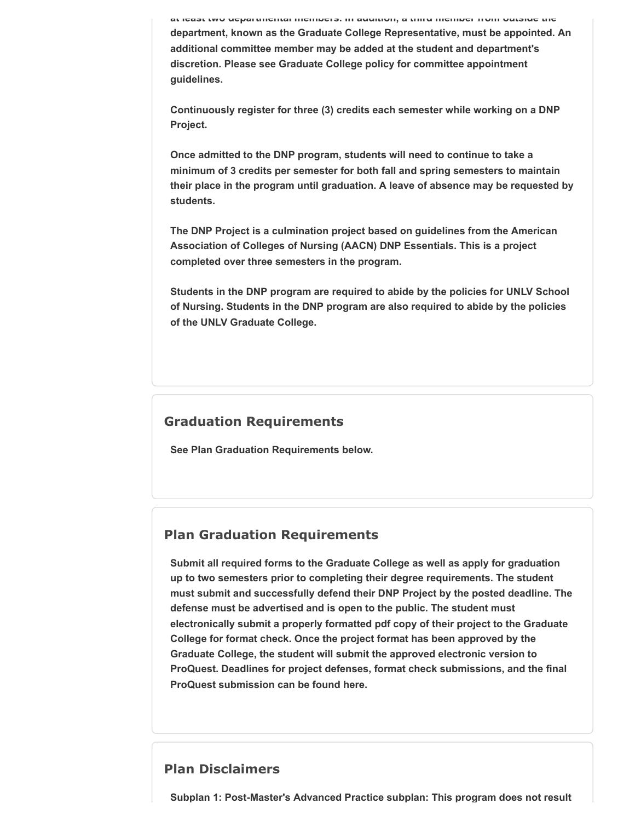**at least two departmental members. In addition, a third member from outside the department, known as the Graduate College Representative, must be appointed. An additional committee member may be added at the student and department's discretion. Please see Graduate College policy for committee appointment guidelines.**

**Continuously register for three (3) credits each semester while working on a DNP Project.**

**Once admitted to the DNP program, students will need to continue to take a minimum of 3 credits per semester for both fall and spring semesters to maintain their place in the program until graduation. A leave of absence may be requested by students.**

**The DNP Project is a culmination project based on guidelines from the American Association of Colleges of Nursing (AACN) DNP Essentials. This is a project completed over three semesters in the program.**

**Students in the DNP program are required to abide by the policies for UNLV School of Nursing. Students in the DNP program are also required to abide by the policies of the UNLV Graduate College.**

### **Graduation Requirements**

**See Plan Graduation Requirements below.**

### **Plan Graduation Requirements**

**Submit all required forms to the Graduate College as well as apply for graduation up to two semesters prior to completing their degree requirements. The student must submit and successfully defend their DNP Project by the posted deadline. The defense must be advertised and is open to the public. The student must electronically submit a properly formatted pdf copy of their project to the Graduate College for format check. Once the project format has been approved by the Graduate College, the student will submit the approved electronic version to ProQuest. Deadlines for project defenses, format check submissions, and the final ProQuest submission can be found here.**

### **Plan Disclaimers**

**Subplan 1: Post-Master's Advanced Practice subplan: This program does not result**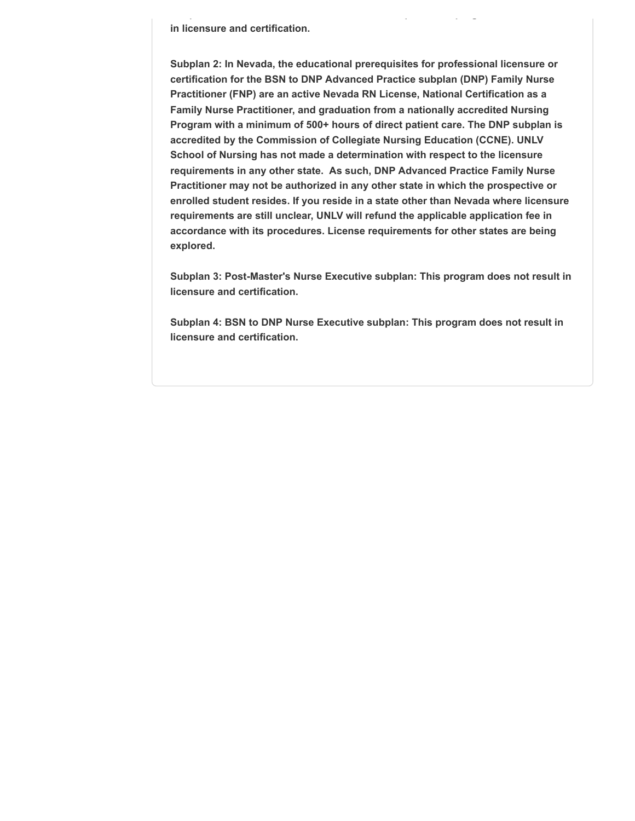**in licensure and certification.**

**Subplan 2: In Nevada, the educational prerequisites for professional licensure or certification for the BSN to DNP Advanced Practice subplan (DNP) Family Nurse Practitioner (FNP) are an active Nevada RN License, National Certification as a Family Nurse Practitioner, and graduation from a nationally accredited Nursing Program with a minimum of 500+ hours of direct patient care. The DNP subplan is accredited by the Commission of Collegiate Nursing Education (CCNE). UNLV School of Nursing has not made a determination with respect to the licensure requirements in any other state. As such, DNP Advanced Practice Family Nurse Practitioner may not be authorized in any other state in which the prospective or enrolled student resides. If you reside in a state other than Nevada where licensure requirements are still unclear, UNLV will refund the applicable application fee in accordance with its procedures. License requirements for other states are being explored.**

**Subplan 3: Post-Master's Nurse Executive subplan: This program does not result in licensure and certification.**

**Subplan 4: BSN to DNP Nurse Executive subplan: This program does not result in licensure and certification.**